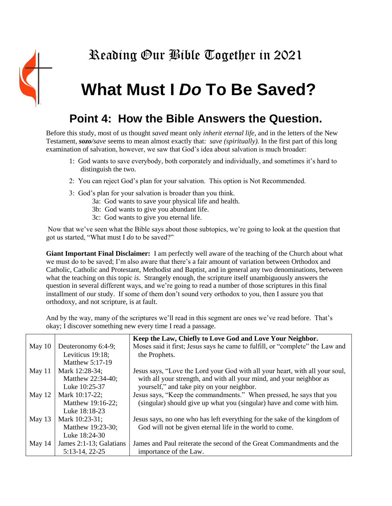

## Reading Our Bible Together in 2021

## **What Must I** *Do* **To Be Saved?**

## **Point 4: How the Bible Answers the Question.**

Before this study, most of us thought *saved* meant only *inherit eternal life*, and in the letters of the New Testament, *sozo/save* seems to mean almost exactly that: *save (spiritually).* In the first part of this long examination of salvation, however, we saw that God's idea about salvation is much broader:

- 1: God wants to save everybody, both corporately and individually, and sometimes it's hard to distinguish the two.
- 2: You can reject God's plan for your salvation. This option is Not Recommended.
- 3: God's plan for your salvation is broader than you think.
	- 3a: God wants to save your physical life and health.
	- 3b: God wants to give you abundant life.
	- 3c: God wants to give you eternal life.

Now that we've seen what the Bible says about those subtopics, we're going to look at the question that got us started, "What must I *do* to be saved?"

**Giant Important Final Disclaimer:** I am perfectly well aware of the teaching of the Church about what we must do to be saved; I'm also aware that there's a fair amount of variation between Orthodox and Catholic, Catholic and Protestant, Methodist and Baptist, and in general any two denominations, between what the teaching on this topic *is*. Strangely enough, the scripture itself unambiguously answers the question in several different ways, and we're going to read a number of those scriptures in this final installment of our study. If some of them don't sound very orthodox to you, then I assure you that orthodoxy, and not scripture, is at fault.

And by the way, many of the scriptures we'll read in this segment are ones we've read before. That's okay; I discover something new every time I read a passage.

|          |                         | Keep the Law, Chiefly to Love God and Love Your Neighbor.                     |
|----------|-------------------------|-------------------------------------------------------------------------------|
| May $10$ | Deuteronomy 6:4-9;      | Moses said it first; Jesus says he came to fulfill, or "complete" the Law and |
|          | Leviticus 19:18;        | the Prophets.                                                                 |
|          | Matthew 5:17-19         |                                                                               |
| May $11$ | Mark 12:28-34;          | Jesus says, "Love the Lord your God with all your heart, with all your soul,  |
|          | Matthew 22:34-40;       | with all your strength, and with all your mind, and your neighbor as          |
|          | Luke 10:25-37           | yourself," and take pity on your neighbor.                                    |
| May $12$ | Mark 10:17-22;          | Jesus says, "Keep the commandments." When pressed, he says that you           |
|          | Matthew 19:16-22;       | (singular) should give up what you (singular) have and come with him.         |
|          | Luke 18:18-23           |                                                                               |
| May $13$ | Mark 10:23-31;          | Jesus says, no one who has left everything for the sake of the kingdom of     |
|          | Matthew 19:23-30;       | God will not be given eternal life in the world to come.                      |
|          | Luke 18:24-30           |                                                                               |
| May 14   | James 2:1-13; Galatians | James and Paul reiterate the second of the Great Commandments and the         |
|          | 5:13-14, 22-25          | importance of the Law.                                                        |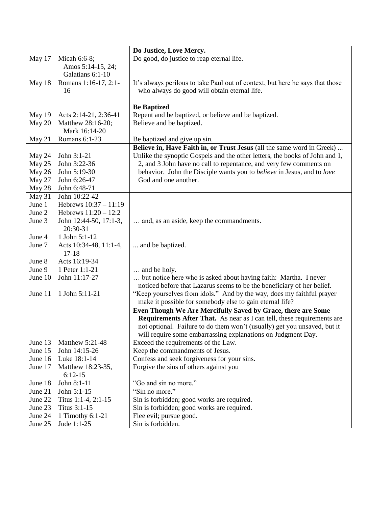|         |                        | Do Justice, Love Mercy.                                                       |
|---------|------------------------|-------------------------------------------------------------------------------|
| May 17  | Micah 6:6-8;           | Do good, do justice to reap eternal life.                                     |
|         | Amos 5:14-15, 24;      |                                                                               |
|         | Galatians 6:1-10       |                                                                               |
| May 18  | Romans 1:16-17, 2:1-   | It's always perilous to take Paul out of context, but here he says that those |
|         | 16                     | who always do good will obtain eternal life.                                  |
|         |                        |                                                                               |
|         |                        | <b>Be Baptized</b>                                                            |
| May 19  | Acts 2:14-21, 2:36-41  | Repent and be baptized, or believe and be baptized.                           |
| May 20  | Matthew 28:16-20;      | Believe and be baptized.                                                      |
|         | Mark 16:14-20          |                                                                               |
| May 21  | Romans 6:1-23          | Be baptized and give up sin.                                                  |
|         |                        | Believe in, Have Faith in, or Trust Jesus (all the same word in Greek)        |
| May 24  | John 3:1-21            | Unlike the synoptic Gospels and the other letters, the books of John and 1,   |
| May 25  | John 3:22-36           | 2, and 3 John have no call to repentance, and very few comments on            |
| May 26  | John 5:19-30           | behavior. John the Disciple wants you to believe in Jesus, and to love        |
| May 27  | John 6:26-47           | God and one another.                                                          |
| May 28  | John 6:48-71           |                                                                               |
| May 31  | John 10:22-42          |                                                                               |
| June 1  | Hebrews 10:37 - 11:19  |                                                                               |
| June 2  | Hebrews $11:20 - 12:2$ |                                                                               |
| June 3  | John 12:44-50, 17:1-3, | and, as an aside, keep the commandments.                                      |
|         | 20:30-31               |                                                                               |
| June 4  | 1 John 5:1-12          |                                                                               |
| June 7  | Acts 10:34-48, 11:1-4, | and be baptized.                                                              |
|         | $17 - 18$              |                                                                               |
| June 8  | Acts 16:19-34          |                                                                               |
| June 9  | 1 Peter 1:1-21         | and be holy.                                                                  |
| June 10 | John 11:17-27          | but notice here who is asked about having faith: Martha. I never              |
|         |                        | noticed before that Lazarus seems to be the beneficiary of her belief.        |
| June 11 | 1 John 5:11-21         | "Keep yourselves from idols." And by the way, does my faithful prayer         |
|         |                        | make it possible for somebody else to gain eternal life?                      |
|         |                        | Even Though We Are Mercifully Saved by Grace, there are Some                  |
|         |                        | <b>Requirements After That.</b> As near as I can tell, these requirements are |
|         |                        | not optional. Failure to do them won't (usually) get you unsaved, but it      |
|         |                        | will require some embarrassing explanations on Judgment Day.                  |
| June 13 | Matthew 5:21-48        | Exceed the requirements of the Law.                                           |
| June 15 | John 14:15-26          | Keep the commandments of Jesus.                                               |
| June 16 | Luke 18:1-14           | Confess and seek for giveness for your sins.                                  |
| June 17 | Matthew 18:23-35,      | Forgive the sins of others against you                                        |
|         | $6:12-15$              |                                                                               |
| June 18 | John 8:1-11            | "Go and sin no more."                                                         |
| June 21 | John 5:1-15            | "Sin no more."                                                                |
| June 22 | Titus 1:1-4, 2:1-15    | Sin is forbidden; good works are required.                                    |
| June 23 | Titus 3:1-15           | Sin is forbidden; good works are required.                                    |
| June 24 | 1 Timothy 6:1-21       | Flee evil; pursue good.                                                       |
| June 25 | Jude 1:1-25            | Sin is forbidden.                                                             |